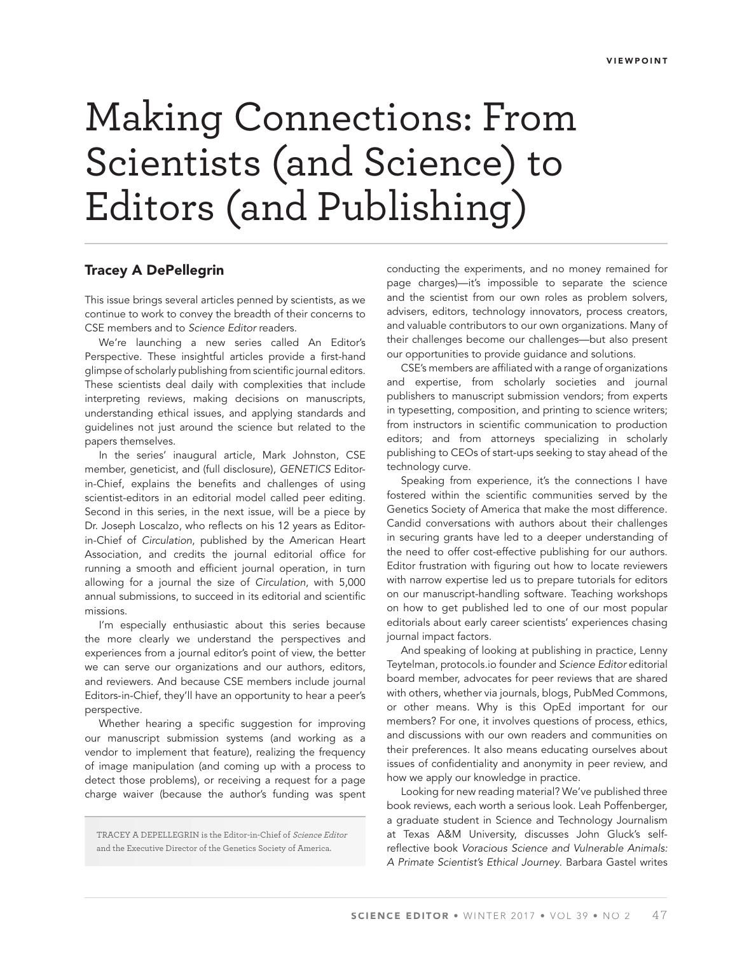## Making Connections: From Scientists (and Science) to Editors (and Publishing)

## **Tracey A DePellegrin**

This issue brings several articles penned by scientists, as we continue to work to convey the breadth of their concerns to CSE members and to Science Editor readers.

We're launching a new series called An Editor's Perspective. These insightful articles provide a first-hand glimpse of scholarly publishing from scientific journal editors. These scientists deal daily with complexities that include interpreting reviews, making decisions on manuscripts, understanding ethical issues, and applying standards and guidelines not just around the science but related to the papers themselves.

In the series' inaugural article, Mark Johnston, CSE member, geneticist, and (full disclosure), GENETICS Editorin-Chief, explains the benefits and challenges of using scientist-editors in an editorial model called peer editing. Second in this series, in the next issue, will be a piece by Dr. Joseph Loscalzo, who reflects on his 12 years as Editorin-Chief of Circulation, published by the American Heart Association, and credits the journal editorial office for running a smooth and efficient journal operation, in turn allowing for a journal the size of Circulation, with 5,000 annual submissions, to succeed in its editorial and scientific missions.

I'm especially enthusiastic about this series because the more clearly we understand the perspectives and experiences from a journal editor's point of view, the better we can serve our organizations and our authors, editors, and reviewers. And because CSE members include journal Editors-in-Chief, they'll have an opportunity to hear a peer's perspective.

Whether hearing a specific suggestion for improving our manuscript submission systems (and working as a vendor to implement that feature), realizing the frequency of image manipulation (and coming up with a process to detect those problems), or receiving a request for a page charge waiver (because the author's funding was spent

TRACEY A DEPELLEGRIN is the Editor-in-Chief of Science Editor and the Executive Director of the Genetics Society of America.

conducting the experiments, and no money remained for page charges)—it's impossible to separate the science and the scientist from our own roles as problem solvers, advisers, editors, technology innovators, process creators, and valuable contributors to our own organizations. Many of their challenges become our challenges—but also present our opportunities to provide guidance and solutions.

CSE's members are affiliated with a range of organizations and expertise, from scholarly societies and journal publishers to manuscript submission vendors; from experts in typesetting, composition, and printing to science writers; from instructors in scientific communication to production editors; and from attorneys specializing in scholarly publishing to CEOs of start-ups seeking to stay ahead of the technology curve.

Speaking from experience, it's the connections I have fostered within the scientific communities served by the Genetics Society of America that make the most difference. Candid conversations with authors about their challenges in securing grants have led to a deeper understanding of the need to offer cost-effective publishing for our authors. Editor frustration with figuring out how to locate reviewers with narrow expertise led us to prepare tutorials for editors on our manuscript-handling software. Teaching workshops on how to get published led to one of our most popular editorials about early career scientists' experiences chasing journal impact factors.

And speaking of looking at publishing in practice, Lenny Teytelman, protocols.io founder and Science Editor editorial board member, advocates for peer reviews that are shared with others, whether via journals, blogs, PubMed Commons, or other means. Why is this OpEd important for our members? For one, it involves questions of process, ethics, and discussions with our own readers and communities on their preferences. It also means educating ourselves about issues of confidentiality and anonymity in peer review, and how we apply our knowledge in practice.

Looking for new reading material? We've published three book reviews, each worth a serious look. Leah Poffenberger, a graduate student in Science and Technology Journalism at Texas A&M University, discusses John Gluck's selfreflective book Voracious Science and Vulnerable Animals: A Primate Scientist's Ethical Journey. Barbara Gastel writes